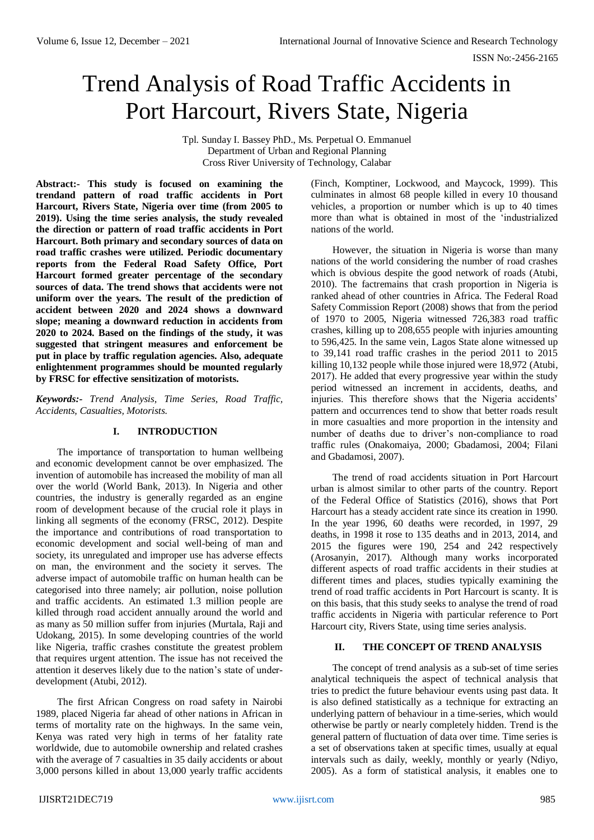# Trend Analysis of Road Traffic Accidents in Port Harcourt, Rivers State, Nigeria

Tpl. Sunday I. Bassey PhD., Ms. Perpetual O. Emmanuel Department of Urban and Regional Planning Cross River University of Technology, Calabar

**Abstract:- This study is focused on examining the trendand pattern of road traffic accidents in Port Harcourt, Rivers State, Nigeria over time (from 2005 to 2019). Using the time series analysis, the study revealed the direction or pattern of road traffic accidents in Port Harcourt. Both primary and secondary sources of data on road traffic crashes were utilized. Periodic documentary reports from the Federal Road Safety Office, Port Harcourt formed greater percentage of the secondary sources of data. The trend shows that accidents were not uniform over the years. The result of the prediction of accident between 2020 and 2024 shows a downward slope; meaning a downward reduction in accidents from 2020 to 2024. Based on the findings of the study, it was suggested that stringent measures and enforcement be put in place by traffic regulation agencies. Also, adequate enlightenment programmes should be mounted regularly by FRSC for effective sensitization of motorists.**

*Keywords:- Trend Analysis, Time Series, Road Traffic, Accidents, Casualties, Motorists.*

# **I. INTRODUCTION**

The importance of transportation to human wellbeing and economic development cannot be over emphasized. The invention of automobile has increased the mobility of man all over the world (World Bank, 2013). In Nigeria and other countries, the industry is generally regarded as an engine room of development because of the crucial role it plays in linking all segments of the economy (FRSC, 2012). Despite the importance and contributions of road transportation to economic development and social well-being of man and society, its unregulated and improper use has adverse effects on man, the environment and the society it serves. The adverse impact of automobile traffic on human health can be categorised into three namely; air pollution, noise pollution and traffic accidents. An estimated 1.3 million people are killed through road accident annually around the world and as many as 50 million suffer from injuries (Murtala, Raji and Udokang, 2015). In some developing countries of the world like Nigeria, traffic crashes constitute the greatest problem that requires urgent attention. The issue has not received the attention it deserves likely due to the nation's state of underdevelopment (Atubi, 2012).

The first African Congress on road safety in Nairobi 1989, placed Nigeria far ahead of other nations in African in terms of mortality rate on the highways. In the same vein, Kenya was rated very high in terms of her fatality rate worldwide, due to automobile ownership and related crashes with the average of 7 casualties in 35 daily accidents or about 3,000 persons killed in about 13,000 yearly traffic accidents (Finch, Komptiner, Lockwood, and Maycock, 1999). This culminates in almost 68 people killed in every 10 thousand vehicles, a proportion or number which is up to 40 times more than what is obtained in most of the 'industrialized nations of the world.

However, the situation in Nigeria is worse than many nations of the world considering the number of road crashes which is obvious despite the good network of roads (Atubi, 2010). The factremains that crash proportion in Nigeria is ranked ahead of other countries in Africa. The Federal Road Safety Commission Report (2008) shows that from the period of 1970 to 2005, Nigeria witnessed 726,383 road traffic crashes, killing up to 208,655 people with injuries amounting to 596,425. In the same vein, Lagos State alone witnessed up to 39,141 road traffic crashes in the period 2011 to 2015 killing 10,132 people while those injured were 18,972 (Atubi, 2017). He added that every progressive year within the study period witnessed an increment in accidents, deaths, and injuries. This therefore shows that the Nigeria accidents' pattern and occurrences tend to show that better roads result in more casualties and more proportion in the intensity and number of deaths due to driver's non-compliance to road traffic rules (Onakomaiya, 2000; Gbadamosi, 2004; Filani and Gbadamosi, 2007).

The trend of road accidents situation in Port Harcourt urban is almost similar to other parts of the country. Report of the Federal Office of Statistics (2016), shows that Port Harcourt has a steady accident rate since its creation in 1990. In the year 1996, 60 deaths were recorded, in 1997, 29 deaths, in 1998 it rose to 135 deaths and in 2013, 2014, and 2015 the figures were 190, 254 and 242 respectively (Arosanyin, 2017). Although many works incorporated different aspects of road traffic accidents in their studies at different times and places, studies typically examining the trend of road traffic accidents in Port Harcourt is scanty. It is on this basis, that this study seeks to analyse the trend of road traffic accidents in Nigeria with particular reference to Port Harcourt city, Rivers State, using time series analysis.

# **II. THE CONCEPT OF TREND ANALYSIS**

The concept of trend analysis as a sub-set of time series analytical techniqueis the aspect of technical analysis that tries to predict the future behaviour events using past data. It is also defined statistically as a technique for extracting an underlying pattern of behaviour in a time-series, which would otherwise be partly or nearly completely hidden. Trend is the general pattern of fluctuation of data over time. Time series is a set of observations taken at specific times, usually at equal intervals such as daily, weekly, monthly or yearly (Ndiyo, 2005). As a form of statistical analysis, it enables one to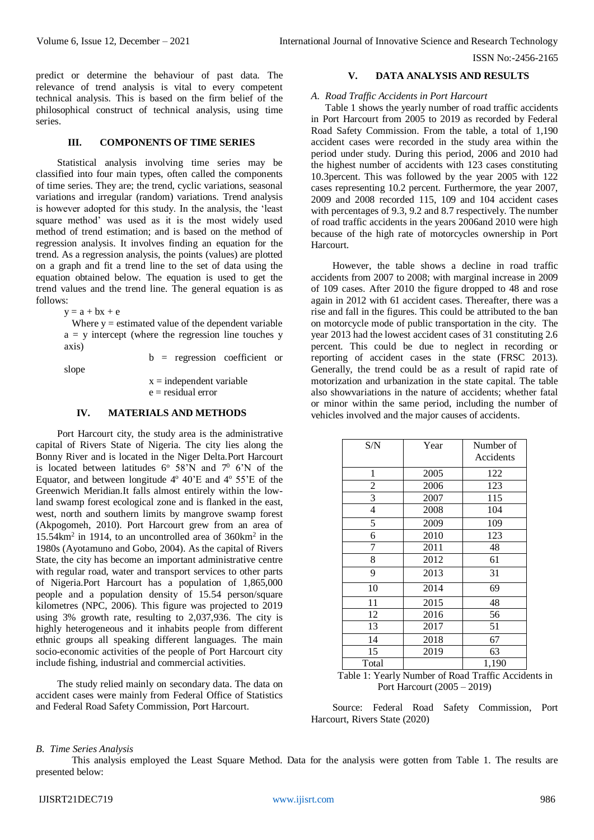ISSN No:-2456-2165

predict or determine the behaviour of past data. The relevance of trend analysis is vital to every competent technical analysis. This is based on the firm belief of the philosophical construct of technical analysis, using time series.

#### **III. COMPONENTS OF TIME SERIES**

Statistical analysis involving time series may be classified into four main types, often called the components of time series. They are; the trend, cyclic variations, seasonal variations and irregular (random) variations. Trend analysis is however adopted for this study. In the analysis, the 'least square method' was used as it is the most widely used method of trend estimation; and is based on the method of regression analysis. It involves finding an equation for the trend. As a regression analysis, the points (values) are plotted on a graph and fit a trend line to the set of data using the equation obtained below. The equation is used to get the trend values and the trend line. The general equation is as follows:

 $y = a + bx + e$ 

Where  $y =$  estimated value of the dependent variable  $a = y$  intercept (where the regression line touches y axis)

slope

b = regression coefficient or

 $x =$  independent variable  $e =$  residual error

## **IV. MATERIALS AND METHODS**

Port Harcourt city, the study area is the administrative capital of Rivers State of Nigeria. The city lies along the Bonny River and is located in the Niger Delta.Port Harcourt is located between latitudes  $6^{\circ}$  58'N and  $7^{\circ}$  6'N of the Equator, and between longitude  $4^{\circ}$  40'E and  $4^{\circ}$  55'E of the Greenwich Meridian.It falls almost entirely within the lowland swamp forest ecological zone and is flanked in the east, west, north and southern limits by mangrove swamp forest (Akpogomeh, 2010). Port Harcourt grew from an area of 15.54km<sup>2</sup> in 1914, to an uncontrolled area of 360km<sup>2</sup> in the 1980s (Ayotamuno and Gobo, 2004). As the capital of Rivers State, the city has become an important administrative centre with regular road, water and transport services to other parts of Nigeria.Port Harcourt has a population of 1,865,000 people and a population density of 15.54 person/square kilometres (NPC, 2006). This figure was projected to 2019 using 3% growth rate, resulting to 2,037,936. The city is highly heterogeneous and it inhabits people from different ethnic groups all speaking different languages. The main socio-economic activities of the people of Port Harcourt city include fishing, industrial and commercial activities.

The study relied mainly on secondary data. The data on accident cases were mainly from Federal Office of Statistics and Federal Road Safety Commission, Port Harcourt.

#### **V. DATA ANALYSIS AND RESULTS**

#### *A. Road Traffic Accidents in Port Harcourt*

Table 1 shows the yearly number of road traffic accidents in Port Harcourt from 2005 to 2019 as recorded by Federal Road Safety Commission. From the table, a total of 1,190 accident cases were recorded in the study area within the period under study. During this period, 2006 and 2010 had the highest number of accidents with 123 cases constituting 10.3percent. This was followed by the year 2005 with 122 cases representing 10.2 percent. Furthermore, the year 2007, 2009 and 2008 recorded 115, 109 and 104 accident cases with percentages of 9.3, 9.2 and 8.7 respectively. The number of road traffic accidents in the years 2006and 2010 were high because of the high rate of motorcycles ownership in Port Harcourt.

However, the table shows a decline in road traffic accidents from 2007 to 2008; with marginal increase in 2009 of 109 cases. After 2010 the figure dropped to 48 and rose again in 2012 with 61 accident cases. Thereafter, there was a rise and fall in the figures. This could be attributed to the ban on motorcycle mode of public transportation in the city. The year 2013 had the lowest accident cases of 31 constituting 2.6 percent. This could be due to neglect in recording or reporting of accident cases in the state (FRSC 2013). Generally, the trend could be as a result of rapid rate of motorization and urbanization in the state capital. The table also showvariations in the nature of accidents; whether fatal or minor within the same period, including the number of vehicles involved and the major causes of accidents.

| S/N            | Year | Number of<br>Accidents |  |
|----------------|------|------------------------|--|
| 1              | 2005 | 122                    |  |
| $\overline{c}$ | 2006 | 123                    |  |
| 3              | 2007 | 115                    |  |
| $\overline{4}$ | 2008 | 104                    |  |
| 5              | 2009 | 109                    |  |
| 6              | 2010 | 123                    |  |
| 7              | 2011 | 48                     |  |
| 8              | 2012 | 61                     |  |
| 9              | 2013 | 31                     |  |
| 10             | 2014 | 69                     |  |
| 11             | 2015 | 48                     |  |
| 12             | 2016 | 56                     |  |
| 13             | 2017 | 51                     |  |
| 14             | 2018 | 67                     |  |
| 15             | 2019 | 63                     |  |
| Total          |      | 1,190                  |  |

Table 1: Yearly Number of Road Traffic Accidents in Port Harcourt (2005 – 2019)

Source: Federal Road Safety Commission, Port Harcourt, Rivers State (2020)

#### *B. Time Series Analysis*

This analysis employed the Least Square Method. Data for the analysis were gotten from Table 1. The results are presented below: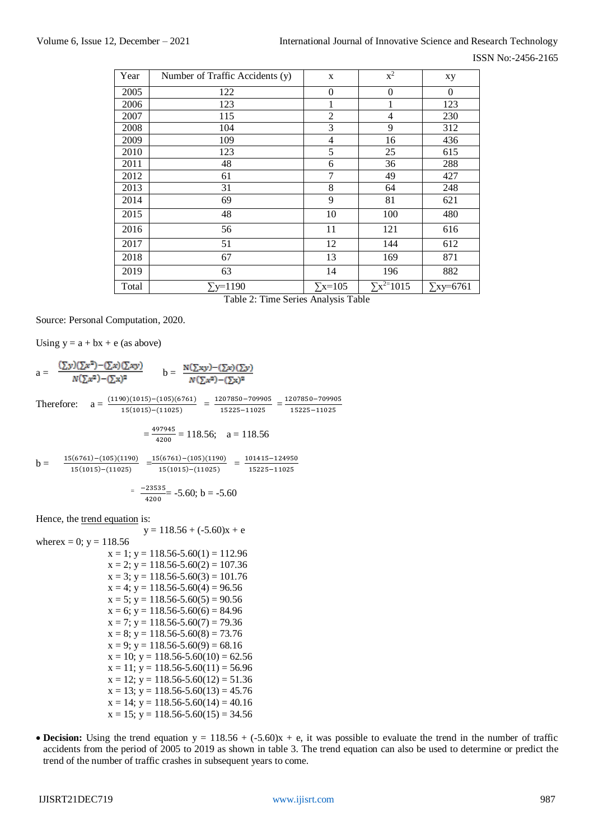| Year  | Number of Traffic Accidents (y) | X                | $x^2$               | xy               |
|-------|---------------------------------|------------------|---------------------|------------------|
| 2005  | 122                             | $\boldsymbol{0}$ | $\boldsymbol{0}$    | $\Omega$         |
| 2006  | 123                             | $\mathbf{1}$     | 1                   | 123              |
| 2007  | 115                             | $\overline{2}$   | $\overline{4}$      | 230              |
| 2008  | 104                             | 3                | 9                   | 312              |
| 2009  | 109                             | 4                | 16                  | 436              |
| 2010  | 123                             | 5                | 25                  | 615              |
| 2011  | 48                              | 6                | 36                  | 288              |
| 2012  | 61                              | 7                | 49                  | 427              |
| 2013  | 31                              | $8\,$            | 64                  | 248              |
| 2014  | 69                              | 9                | 81                  | 621              |
| 2015  | 48                              | 10               | 100                 | 480              |
| 2016  | 56                              | 11               | 121                 | 616              |
| 2017  | 51                              | 12               | 144                 | 612              |
| 2018  | 67                              | 13               | 169                 | 871              |
| 2019  | 63                              | 14               | 196                 | 882              |
| Total | $\Sigma$ y=1190                 | $\Sigma$ x=105   | $\Sigma x^{2=1015}$ | $\Sigma$ xy=6761 |

Table 2: Time Series Analysis Table

Source: Personal Computation, 2020.

Using  $y = a + bx + e$  (as above)

 $a = \frac{(\sum y)(\sum x^2) - (\sum x)(\sum xy)}{N(\sum x^2) - (\sum x)^2}$   $b = \frac{N(\sum xy) - (\sum x)(\sum y)}{N(\sum x^2) - (\sum x)^2}$ Therefore:  $a = \frac{(1190)(1015) - (105)(6761)}{15(1015) - (11025)} = \frac{1207850 - 709905}{15225 - 11025}$  $\frac{207850-709905}{15225-11025} = \frac{1207850-709905}{15225-11025}$ 15225−11025  $=\frac{497945}{1000}$  $\frac{4200}{4200}$  = 118.56; a = 118.56

 $b =$  $\frac{15(6761)-(105)(1190)}{15(6361)-(105)(1190)} = \frac{15(6761)-(105)(1190)}{15(6361)-(14305)} = \frac{101415-124950}{15005-11005}$ 15(1015)−(11025) 15(1015)−(11025) 15225−11025

$$
= \frac{-23535}{4200} = -5.60; b = -5.60
$$

Hence, the trend equation is:

 $y = 118.56 + (-5.60)x + e$ wherex = 0;  $y = 118.56$  $x = 1$ ;  $y = 118.56 - 5.60(1) = 112.96$  $x = 2$ ;  $y = 118.56 - 5.60(2) = 107.36$  $x = 3$ ;  $y = 118.56 - 5.60(3) = 101.76$  $x = 4$ ;  $y = 118.56 - 5.60(4) = 96.56$  $x = 5$ ;  $y = 118.56 - 5.60(5) = 90.56$  $x = 6$ ;  $y = 118.56 - 5.60(6) = 84.96$  $x = 7$ ;  $y = 118.56 - 5.60(7) = 79.36$  $x = 8$ ;  $y = 118.56 - 5.60(8) = 73.76$  $x = 9$ ;  $y = 118.56 - 5.60(9) = 68.16$  $x = 10$ ;  $y = 118.56 - 5.60(10) = 62.56$  $x = 11$ ;  $y = 118.56 - 5.60(11) = 56.96$  $x = 12$ ;  $y = 118.56 - 5.60(12) = 51.36$  $x = 13$ ;  $y = 118.56 - 5.60(13) = 45.76$  $x = 14$ ;  $y = 118.56 - 5.60(14) = 40.16$  $x = 15$ ;  $y = 118.56 - 5.60(15) = 34.56$ 

**Decision:** Using the trend equation  $y = 118.56 + (-5.60)x + e$ , it was possible to evaluate the trend in the number of traffic accidents from the period of 2005 to 2019 as shown in table 3. The trend equation can also be used to determine or predict the trend of the number of traffic crashes in subsequent years to come.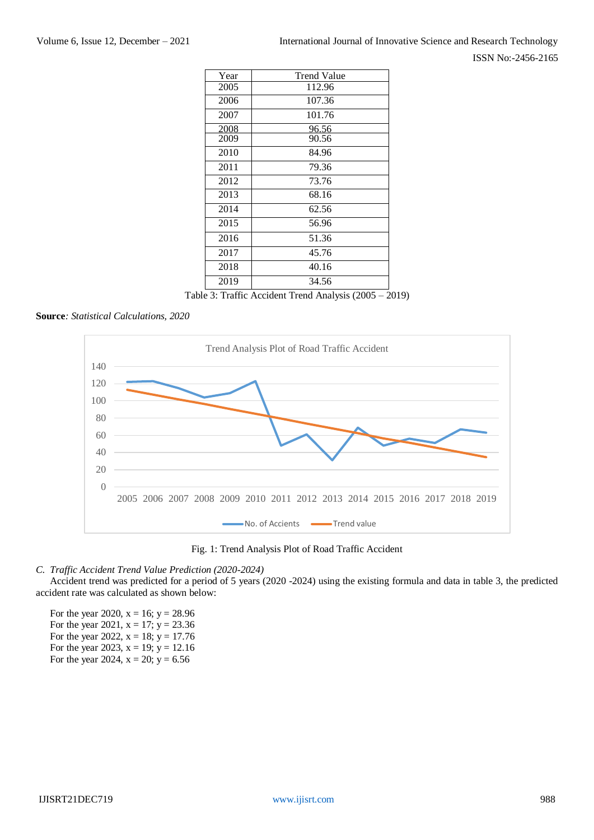ISSN No:-2456-2165

| Year | <b>Trend Value</b> |  |
|------|--------------------|--|
| 2005 | 112.96             |  |
| 2006 | 107.36             |  |
| 2007 | 101.76             |  |
| 2008 | 96.56              |  |
| 2009 | 90.56              |  |
| 2010 | 84.96              |  |
| 2011 | 79.36              |  |
| 2012 | 73.76              |  |
| 2013 | 68.16              |  |
| 2014 | 62.56              |  |
| 2015 | 56.96              |  |
| 2016 | 51.36              |  |
| 2017 | 45.76              |  |
| 2018 | 40.16              |  |
| 2019 | 34.56              |  |

Table 3: Traffic Accident Trend Analysis (2005 – 2019)

## **Source***: Statistical Calculations, 2020*



Fig. 1: Trend Analysis Plot of Road Traffic Accident

## *C. Traffic Accident Trend Value Prediction (2020-2024)*

Accident trend was predicted for a period of 5 years (2020 -2024) using the existing formula and data in table 3, the predicted accident rate was calculated as shown below:

For the year 2020,  $x = 16$ ;  $y = 28.96$ For the year 2021,  $x = 17$ ;  $y = 23.36$ For the year 2022,  $x = 18$ ;  $y = 17.76$ For the year 2023,  $x = 19$ ;  $y = 12.16$ For the year 2024,  $x = 20$ ;  $y = 6.56$